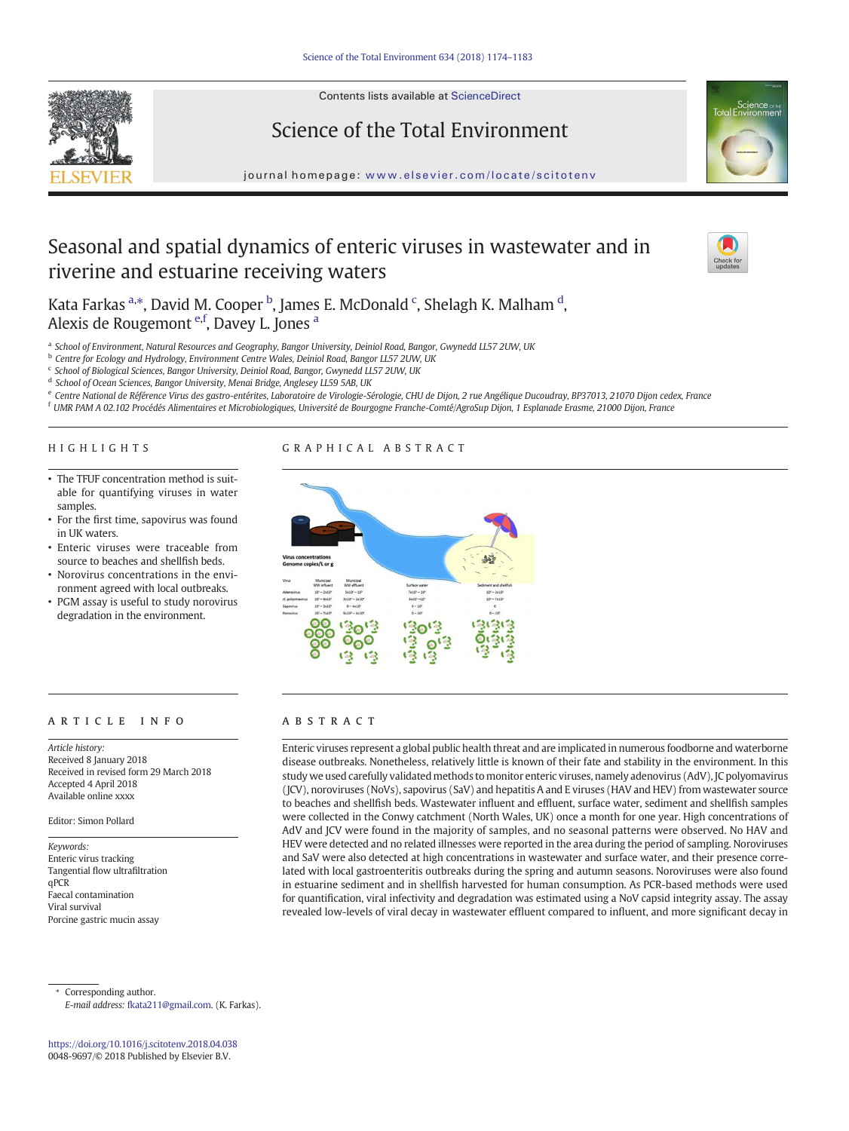

Contents lists available at ScienceDirect

# Science of the Total Environment

journal homepage: <www.elsevier.com/locate/scitotenv>

# Seasonal and spatial dynamics of enteric viruses in wastewater and in riverine and estuarine receiving waters



Kata Farkas <sup>a,</sup>\*, David M. Cooper <sup>b</sup>, James E. McDonald <sup>c</sup>, Shelagh K. Malham <sup>d</sup>, Alexis de Rougemont <sup>e,f</sup>, Davey L. Jones <sup>a</sup>

a School of Environment, Natural Resources and Geography, Bangor University, Deiniol Road, Bangor, Gwynedd LL57 2UW, UK

b Centre for Ecology and Hydrology, Environment Centre Wales, Deiniol Road, Bangor LL57 2UW, UK

<sup>c</sup> School of Biological Sciences, Bangor University, Deiniol Road, Bangor, Gwynedd LL57 2UW, UK

<sup>d</sup> School of Ocean Sciences, Bangor University, Menai Bridge, Anglesey LL59 5AB, UK

Centre National de Référence Virus des gastro-entérites, Laboratoire de Virologie-Sérologie, CHU de Dijon, 2 rue Angélique Ducoudray, BP37013, 21070 Dijon cedex, France

<sup>f</sup> UMR PAM A 02.102 Procédés Alimentaires et Microbiologiques, Université de Bourgogne Franche-Comté/AgroSup Dijon, 1 Esplanade Erasme, 21000 Dijon, France

# HIGHLIGHTS

# GRAPHICAL ABSTRACT

- The TFUF concentration method is suitable for quantifying viruses in water samples.
- For the first time, sapovirus was found in UK waters.
- Enteric viruses were traceable from source to beaches and shellfish beds.
- Norovirus concentrations in the environment agreed with local outbreaks.
- PGM assay is useful to study norovirus degradation in the environment.



# article info abstract

Article history: Received 8 January 2018 Received in revised form 29 March 2018 Accepted 4 April 2018 Available online xxxx

Editor: Simon Pollard

Keywords: Enteric virus tracking Tangential flow ultrafiltration qPCR Faecal contamination Viral survival Porcine gastric mucin assay

Enteric viruses represent a global public health threat and are implicated in numerous foodborne and waterborne disease outbreaks. Nonetheless, relatively little is known of their fate and stability in the environment. In this study we used carefully validated methods to monitor enteric viruses, namely adenovirus (AdV), JC polyomavirus (JCV), noroviruses (NoVs), sapovirus (SaV) and hepatitis A and E viruses (HAV and HEV) from wastewater source to beaches and shellfish beds. Wastewater influent and effluent, surface water, sediment and shellfish samples were collected in the Conwy catchment (North Wales, UK) once a month for one year. High concentrations of AdV and JCV were found in the majority of samples, and no seasonal patterns were observed. No HAV and HEV were detected and no related illnesses were reported in the area during the period of sampling. Noroviruses and SaV were also detected at high concentrations in wastewater and surface water, and their presence correlated with local gastroenteritis outbreaks during the spring and autumn seasons. Noroviruses were also found in estuarine sediment and in shellfish harvested for human consumption. As PCR-based methods were used for quantification, viral infectivity and degradation was estimated using a NoV capsid integrity assay. The assay revealed low-levels of viral decay in wastewater effluent compared to influent, and more significant decay in

Corresponding author. E-mail address: <fkata211@gmail.com>. (K. Farkas).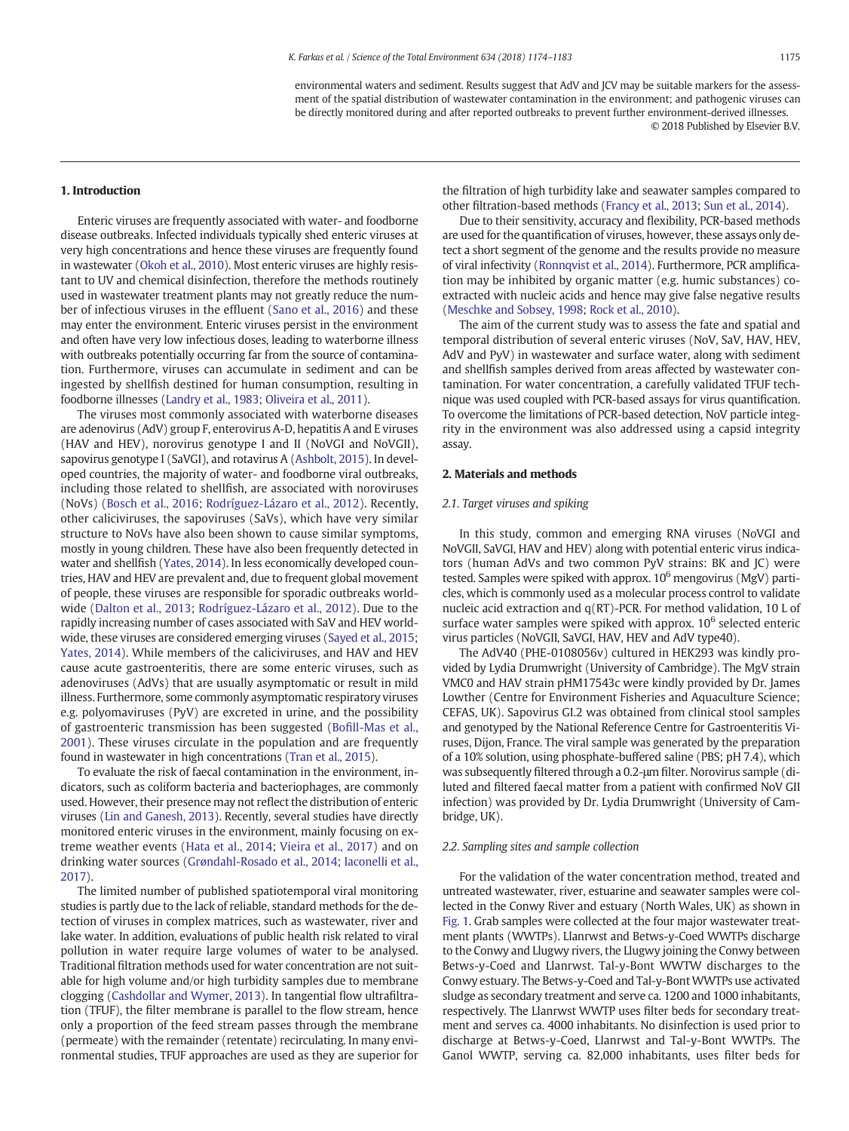environmental waters and sediment. Results suggest that AdV and JCV may be suitable markers for the assessment of the spatial distribution of wastewater contamination in the environment; and pathogenic viruses can be directly monitored during and after reported outbreaks to prevent further environment-derived illnesses. © 2018 Published by Elsevier B.V.

### <span id="page-1-0"></span>1. Introduction

Enteric viruses are frequently associated with water- and foodborne disease outbreaks. Infected individuals typically shed enteric viruses at very high concentrations and hence these viruses are frequently found in wastewater [\(Okoh et al., 2010](#page-9-0)). Most enteric viruses are highly resistant to UV and chemical disinfection, therefore the methods routinely used in wastewater treatment plants may not greatly reduce the number of infectious viruses in the effluent [\(Sano et al., 2016\)](#page-9-0) and these may enter the environment. Enteric viruses persist in the environment and often have very low infectious doses, leading to waterborne illness with outbreaks potentially occurring far from the source of contamination. Furthermore, viruses can accumulate in sediment and can be ingested by shellfish destined for human consumption, resulting in foodborne illnesses [\(Landry et al., 1983;](#page-9-0) [Oliveira et al., 2011\)](#page-9-0).

The viruses most commonly associated with waterborne diseases are adenovirus (AdV) group F, enterovirus A-D, hepatitis A and E viruses (HAV and HEV), norovirus genotype I and II (NoVGI and NoVGII), sapovirus genotype I (SaVGI), and rotavirus A [\(Ashbolt, 2015\)](#page-8-0). In developed countries, the majority of water- and foodborne viral outbreaks, including those related to shellfish, are associated with noroviruses (NoVs) ([Bosch et al., 2016](#page-8-0); [Rodríguez-Lázaro et al., 2012](#page-9-0)). Recently, other caliciviruses, the sapoviruses (SaVs), which have very similar structure to NoVs have also been shown to cause similar symptoms, mostly in young children. These have also been frequently detected in water and shellfish ([Yates, 2014](#page-9-0)). In less economically developed countries, HAV and HEV are prevalent and, due to frequent global movement of people, these viruses are responsible for sporadic outbreaks worldwide ([Dalton et al., 2013](#page-8-0); [Rodríguez-Lázaro et al., 2012\)](#page-9-0). Due to the rapidly increasing number of cases associated with SaV and HEV worldwide, these viruses are considered emerging viruses [\(Sayed et al., 2015;](#page-9-0) [Yates, 2014\)](#page-9-0). While members of the caliciviruses, and HAV and HEV cause acute gastroenteritis, there are some enteric viruses, such as adenoviruses (AdVs) that are usually asymptomatic or result in mild illness. Furthermore, some commonly asymptomatic respiratory viruses e.g. polyomaviruses (PyV) are excreted in urine, and the possibility of gastroenteric transmission has been suggested (Bofi[ll-Mas et al.,](#page-8-0) [2001\)](#page-8-0). These viruses circulate in the population and are frequently found in wastewater in high concentrations [\(Tran et al., 2015](#page-9-0)).

To evaluate the risk of faecal contamination in the environment, indicators, such as coliform bacteria and bacteriophages, are commonly used. However, their presence may not reflect the distribution of enteric viruses [\(Lin and Ganesh, 2013](#page-9-0)). Recently, several studies have directly monitored enteric viruses in the environment, mainly focusing on extreme weather events [\(Hata et al., 2014](#page-8-0); [Vieira et al., 2017\)](#page-9-0) and on drinking water sources ([Grøndahl-Rosado et al., 2014;](#page-8-0) [Iaconelli et al.,](#page-8-0) [2017](#page-8-0)).

The limited number of published spatiotemporal viral monitoring studies is partly due to the lack of reliable, standard methods for the detection of viruses in complex matrices, such as wastewater, river and lake water. In addition, evaluations of public health risk related to viral pollution in water require large volumes of water to be analysed. Traditional filtration methods used for water concentration are not suitable for high volume and/or high turbidity samples due to membrane clogging [\(Cashdollar and Wymer, 2013\)](#page-8-0). In tangential flow ultrafiltration (TFUF), the filter membrane is parallel to the flow stream, hence only a proportion of the feed stream passes through the membrane (permeate) with the remainder (retentate) recirculating. In many environmental studies, TFUF approaches are used as they are superior for the filtration of high turbidity lake and seawater samples compared to other filtration-based methods [\(Francy et al., 2013](#page-8-0); [Sun et al., 2014](#page-9-0)).

Due to their sensitivity, accuracy and flexibility, PCR-based methods are used for the quantification of viruses, however, these assays only detect a short segment of the genome and the results provide no measure of viral infectivity [\(Ronnqvist et al., 2014](#page-9-0)). Furthermore, PCR amplification may be inhibited by organic matter (e.g. humic substances) coextracted with nucleic acids and hence may give false negative results [\(Meschke and Sobsey, 1998](#page-9-0); [Rock et al., 2010\)](#page-9-0).

The aim of the current study was to assess the fate and spatial and temporal distribution of several enteric viruses (NoV, SaV, HAV, HEV, AdV and PyV) in wastewater and surface water, along with sediment and shellfish samples derived from areas affected by wastewater contamination. For water concentration, a carefully validated TFUF technique was used coupled with PCR-based assays for virus quantification. To overcome the limitations of PCR-based detection, NoV particle integrity in the environment was also addressed using a capsid integrity assay.

#### 2. Materials and methods

#### 2.1. Target viruses and spiking

In this study, common and emerging RNA viruses (NoVGI and NoVGII, SaVGI, HAV and HEV) along with potential enteric virus indicators (human AdVs and two common PyV strains: BK and JC) were tested. Samples were spiked with approx.  $10^6$  mengovirus (MgV) particles, which is commonly used as a molecular process control to validate nucleic acid extraction and q(RT)-PCR. For method validation, 10 L of surface water samples were spiked with approx.  $10^6$  selected enteric virus particles (NoVGII, SaVGI, HAV, HEV and AdV type40).

The AdV40 (PHE-0108056v) cultured in HEK293 was kindly provided by Lydia Drumwright (University of Cambridge). The MgV strain VMC0 and HAV strain pHM17543c were kindly provided by Dr. James Lowther (Centre for Environment Fisheries and Aquaculture Science; CEFAS, UK). Sapovirus GI.2 was obtained from clinical stool samples and genotyped by the National Reference Centre for Gastroenteritis Viruses, Dijon, France. The viral sample was generated by the preparation of a 10% solution, using phosphate-buffered saline (PBS; pH 7.4), which was subsequently filtered through a 0.2-μm filter. Norovirus sample (diluted and filtered faecal matter from a patient with confirmed NoV GII infection) was provided by Dr. Lydia Drumwright (University of Cambridge, UK).

#### 2.2. Sampling sites and sample collection

For the validation of the water concentration method, treated and untreated wastewater, river, estuarine and seawater samples were collected in the Conwy River and estuary (North Wales, UK) as shown in [Fig. 1.](#page-2-0) Grab samples were collected at the four major wastewater treatment plants (WWTPs). Llanrwst and Betws-y-Coed WWTPs discharge to the Conwy and Llugwy rivers, the Llugwy joining the Conwy between Betws-y-Coed and Llanrwst. Tal-y-Bont WWTW discharges to the Conwy estuary. The Betws-y-Coed and Tal-y-BontWWTPs use activated sludge as secondary treatment and serve ca. 1200 and 1000 inhabitants, respectively. The Llanrwst WWTP uses filter beds for secondary treatment and serves ca. 4000 inhabitants. No disinfection is used prior to discharge at Betws-y-Coed, Llanrwst and Tal-y-Bont WWTPs. The Ganol WWTP, serving ca. 82,000 inhabitants, uses filter beds for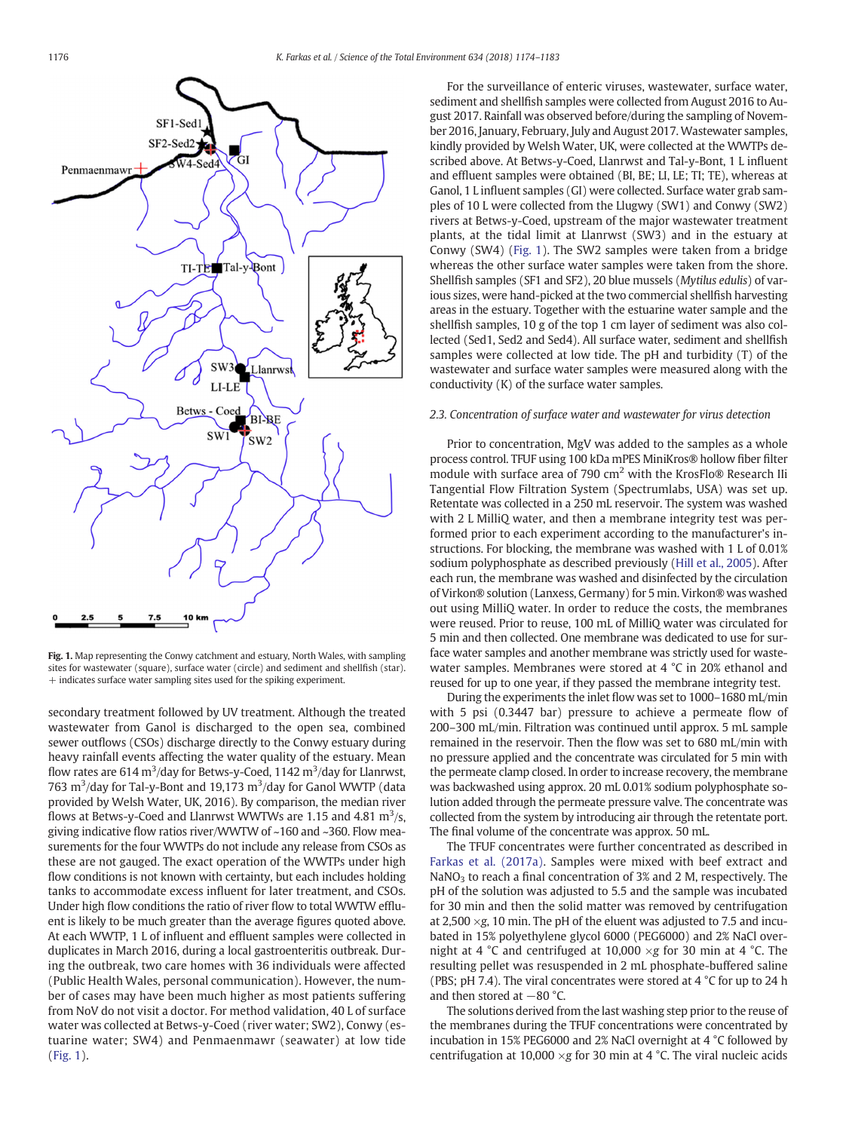<span id="page-2-0"></span>

Fig. 1. Map representing the Conwy catchment and estuary, North Wales, with sampling sites for wastewater (square), surface water (circle) and sediment and shellfish (star). + indicates surface water sampling sites used for the spiking experiment.

secondary treatment followed by UV treatment. Although the treated wastewater from Ganol is discharged to the open sea, combined sewer outflows (CSOs) discharge directly to the Conwy estuary during heavy rainfall events affecting the water quality of the estuary. Mean flow rates are 614 m $^3$ /day for Betws-y-Coed, 1142 m $^3$ /day for Llanrwst, 763 m<sup>3</sup>/day for Tal-y-Bont and 19,173 m<sup>3</sup>/day for Ganol WWTP (data provided by Welsh Water, UK, 2016). By comparison, the median river flows at Betws-y-Coed and Llanrwst WWTWs are 1.15 and 4.81  $\mathrm{m}^3\mathrm{/s}$ , giving indicative flow ratios river/WWTW of ~160 and ~360. Flow measurements for the four WWTPs do not include any release from CSOs as these are not gauged. The exact operation of the WWTPs under high flow conditions is not known with certainty, but each includes holding tanks to accommodate excess influent for later treatment, and CSOs. Under high flow conditions the ratio of river flow to total WWTW effluent is likely to be much greater than the average figures quoted above. At each WWTP, 1 L of influent and effluent samples were collected in duplicates in March 2016, during a local gastroenteritis outbreak. During the outbreak, two care homes with 36 individuals were affected (Public Health Wales, personal communication). However, the number of cases may have been much higher as most patients suffering from NoV do not visit a doctor. For method validation, 40 L of surface water was collected at Betws-y-Coed (river water; SW2), Conwy (estuarine water; SW4) and Penmaenmawr (seawater) at low tide (Fig. 1).

For the surveillance of enteric viruses, wastewater, surface water, sediment and shellfish samples were collected from August 2016 to August 2017. Rainfall was observed before/during the sampling of November 2016, January, February, July and August 2017. Wastewater samples, kindly provided by Welsh Water, UK, were collected at the WWTPs described above. At Betws-y-Coed, Llanrwst and Tal-y-Bont, 1 L influent and effluent samples were obtained (BI, BE; LI, LE; TI; TE), whereas at Ganol, 1 L influent samples (GI) were collected. Surface water grab samples of 10 L were collected from the Llugwy (SW1) and Conwy (SW2) rivers at Betws-y-Coed, upstream of the major wastewater treatment plants, at the tidal limit at Llanrwst (SW3) and in the estuary at Conwy (SW4) (Fig. 1). The SW2 samples were taken from a bridge whereas the other surface water samples were taken from the shore. Shellfish samples (SF1 and SF2), 20 blue mussels (Mytilus edulis) of various sizes, were hand-picked at the two commercial shellfish harvesting areas in the estuary. Together with the estuarine water sample and the shellfish samples, 10 g of the top 1 cm layer of sediment was also collected (Sed1, Sed2 and Sed4). All surface water, sediment and shellfish samples were collected at low tide. The pH and turbidity (T) of the wastewater and surface water samples were measured along with the conductivity (K) of the surface water samples.

#### 2.3. Concentration of surface water and wastewater for virus detection

Prior to concentration, MgV was added to the samples as a whole process control. TFUF using 100 kDa mPES MiniKros® hollow fiber filter module with surface area of 790 cm<sup>2</sup> with the KrosFlo® Research IIi Tangential Flow Filtration System (Spectrumlabs, USA) was set up. Retentate was collected in a 250 mL reservoir. The system was washed with 2 L MilliQ water, and then a membrane integrity test was performed prior to each experiment according to the manufacturer's instructions. For blocking, the membrane was washed with 1 L of 0.01% sodium polyphosphate as described previously [\(Hill et al., 2005\)](#page-8-0). After each run, the membrane was washed and disinfected by the circulation of Virkon® solution (Lanxess, Germany) for 5 min. Virkon® was washed out using MilliQ water. In order to reduce the costs, the membranes were reused. Prior to reuse, 100 mL of MilliQ water was circulated for 5 min and then collected. One membrane was dedicated to use for surface water samples and another membrane was strictly used for wastewater samples. Membranes were stored at 4 °C in 20% ethanol and reused for up to one year, if they passed the membrane integrity test.

During the experiments the inlet flow was set to 1000–1680 mL/min with 5 psi (0.3447 bar) pressure to achieve a permeate flow of 200–300 mL/min. Filtration was continued until approx. 5 mL sample remained in the reservoir. Then the flow was set to 680 mL/min with no pressure applied and the concentrate was circulated for 5 min with the permeate clamp closed. In order to increase recovery, the membrane was backwashed using approx. 20 mL 0.01% sodium polyphosphate solution added through the permeate pressure valve. The concentrate was collected from the system by introducing air through the retentate port. The final volume of the concentrate was approx. 50 mL.

The TFUF concentrates were further concentrated as described in [Farkas et al. \(2017a\)](#page-8-0). Samples were mixed with beef extract and  $NaNO<sub>3</sub>$  to reach a final concentration of 3% and 2 M, respectively. The pH of the solution was adjusted to 5.5 and the sample was incubated for 30 min and then the solid matter was removed by centrifugation at 2,500  $\times$ g, 10 min. The pH of the eluent was adjusted to 7.5 and incubated in 15% polyethylene glycol 6000 (PEG6000) and 2% NaCl overnight at 4 °C and centrifuged at 10,000  $\times$ g for 30 min at 4 °C. The resulting pellet was resuspended in 2 mL phosphate-buffered saline (PBS; pH 7.4). The viral concentrates were stored at 4 °C for up to 24 h and then stored at −80 °C.

The solutions derived from the last washing step prior to the reuse of the membranes during the TFUF concentrations were concentrated by incubation in 15% PEG6000 and 2% NaCl overnight at 4 °C followed by centrifugation at 10,000  $\times$ g for 30 min at 4 °C. The viral nucleic acids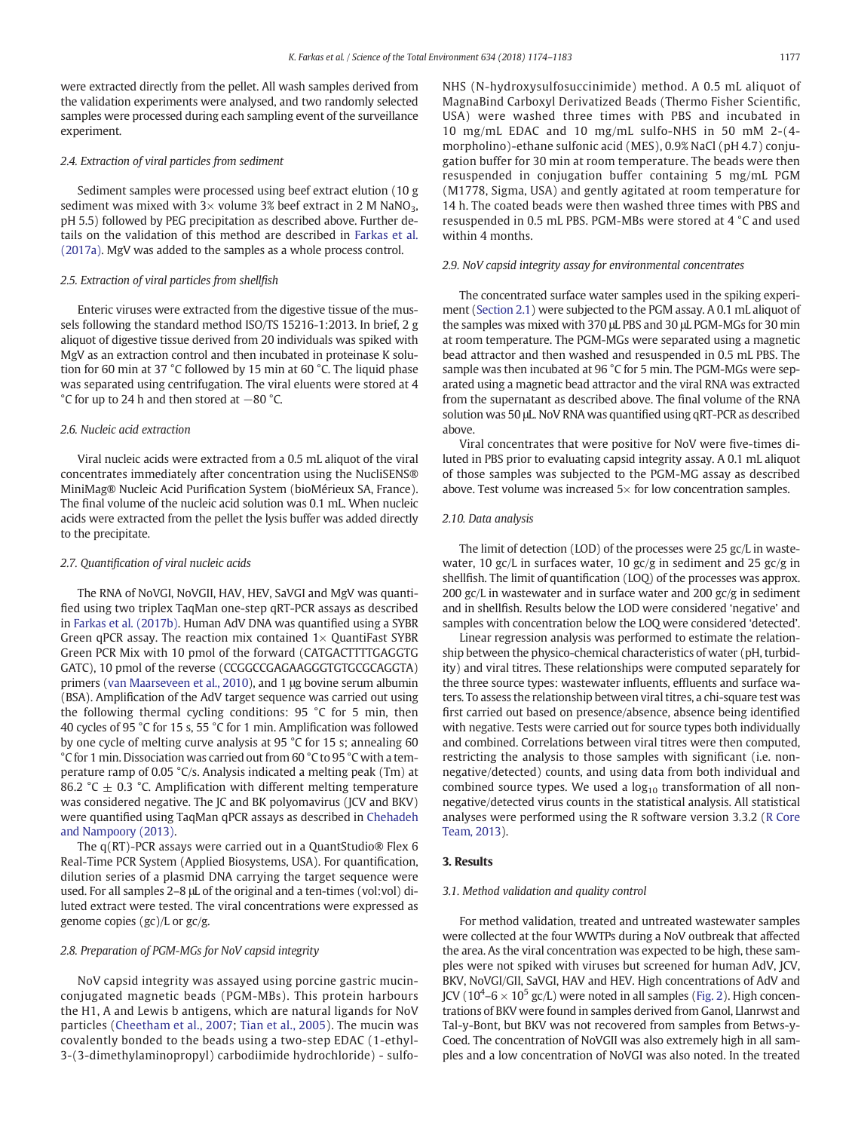were extracted directly from the pellet. All wash samples derived from the validation experiments were analysed, and two randomly selected samples were processed during each sampling event of the surveillance experiment.

#### 2.4. Extraction of viral particles from sediment

Sediment samples were processed using beef extract elution (10 g sediment was mixed with  $3\times$  volume 3% beef extract in 2 M NaNO<sub>3</sub>, pH 5.5) followed by PEG precipitation as described above. Further details on the validation of this method are described in [Farkas et al.](#page-8-0) [\(2017a\)](#page-8-0). MgV was added to the samples as a whole process control.

# 2.5. Extraction of viral particles from shellfish

Enteric viruses were extracted from the digestive tissue of the mussels following the standard method ISO/TS 15216-1:2013. In brief, 2 g aliquot of digestive tissue derived from 20 individuals was spiked with MgV as an extraction control and then incubated in proteinase K solution for 60 min at 37 °C followed by 15 min at 60 °C. The liquid phase was separated using centrifugation. The viral eluents were stored at 4 °C for up to 24 h and then stored at −80 °C.

#### 2.6. Nucleic acid extraction

Viral nucleic acids were extracted from a 0.5 mL aliquot of the viral concentrates immediately after concentration using the NucliSENS® MiniMag® Nucleic Acid Purification System (bioMérieux SA, France). The final volume of the nucleic acid solution was 0.1 mL. When nucleic acids were extracted from the pellet the lysis buffer was added directly to the precipitate.

#### 2.7. Quantification of viral nucleic acids

The RNA of NoVGI, NoVGII, HAV, HEV, SaVGI and MgV was quantified using two triplex TaqMan one-step qRT-PCR assays as described in [Farkas et al. \(2017b\).](#page-8-0) Human AdV DNA was quantified using a SYBR Green qPCR assay. The reaction mix contained  $1\times$  QuantiFast SYBR Green PCR Mix with 10 pmol of the forward (CATGACTTTTGAGGTG GATC), 10 pmol of the reverse (CCGGCCGAGAAGGGTGTGCGCAGGTA) primers ([van Maarseveen et al., 2010](#page-9-0)), and 1 μg bovine serum albumin (BSA). Amplification of the AdV target sequence was carried out using the following thermal cycling conditions: 95 °C for 5 min, then 40 cycles of 95 °C for 15 s, 55 °C for 1 min. Amplification was followed by one cycle of melting curve analysis at 95 °C for 15 s; annealing 60 °C for 1 min. Dissociation was carried out from 60 °C to 95 °C with a temperature ramp of 0.05 °C/s. Analysis indicated a melting peak (Tm) at 86.2 °C  $\pm$  0.3 °C. Amplification with different melting temperature was considered negative. The JC and BK polyomavirus (JCV and BKV) were quantified using TaqMan qPCR assays as described in [Chehadeh](#page-8-0) [and Nampoory \(2013\)](#page-8-0).

The q(RT)-PCR assays were carried out in a QuantStudio® Flex 6 Real-Time PCR System (Applied Biosystems, USA). For quantification, dilution series of a plasmid DNA carrying the target sequence were used. For all samples 2–8 μL of the original and a ten-times (vol:vol) diluted extract were tested. The viral concentrations were expressed as genome copies (gc)/L or gc/g.

#### 2.8. Preparation of PGM-MGs for NoV capsid integrity

NoV capsid integrity was assayed using porcine gastric mucinconjugated magnetic beads (PGM-MBs). This protein harbours the H1, A and Lewis b antigens, which are natural ligands for NoV particles ([Cheetham et al., 2007;](#page-8-0) [Tian et al., 2005\)](#page-9-0). The mucin was covalently bonded to the beads using a two-step EDAC (1-ethyl-3-(3-dimethylaminopropyl) carbodiimide hydrochloride) - sulfoNHS (N-hydroxysulfosuccinimide) method. A 0.5 mL aliquot of MagnaBind Carboxyl Derivatized Beads (Thermo Fisher Scientific, USA) were washed three times with PBS and incubated in 10 mg/mL EDAC and 10 mg/mL sulfo-NHS in 50 mM 2-(4 morpholino)-ethane sulfonic acid (MES), 0.9% NaCl (pH 4.7) conjugation buffer for 30 min at room temperature. The beads were then resuspended in conjugation buffer containing 5 mg/mL PGM (M1778, Sigma, USA) and gently agitated at room temperature for 14 h. The coated beads were then washed three times with PBS and resuspended in 0.5 mL PBS. PGM-MBs were stored at 4 °C and used within 4 months.

# 2.9. NoV capsid integrity assay for environmental concentrates

The concentrated surface water samples used in the spiking experiment [\(Section 2.1\)](#page-1-0) were subjected to the PGM assay. A 0.1 mL aliquot of the samples was mixed with 370 μL PBS and 30 μL PGM-MGs for 30 min at room temperature. The PGM-MGs were separated using a magnetic bead attractor and then washed and resuspended in 0.5 mL PBS. The sample was then incubated at 96 °C for 5 min. The PGM-MGs were separated using a magnetic bead attractor and the viral RNA was extracted from the supernatant as described above. The final volume of the RNA solution was 50 μL. NoV RNA was quantified using qRT-PCR as described above.

Viral concentrates that were positive for NoV were five-times diluted in PBS prior to evaluating capsid integrity assay. A 0.1 mL aliquot of those samples was subjected to the PGM-MG assay as described above. Test volume was increased  $5\times$  for low concentration samples.

#### 2.10. Data analysis

The limit of detection (LOD) of the processes were 25 gc/L in wastewater, 10 gc/L in surfaces water, 10 gc/g in sediment and 25 gc/g in shellfish. The limit of quantification (LOQ) of the processes was approx. 200 gc/L in wastewater and in surface water and 200 gc/g in sediment and in shellfish. Results below the LOD were considered 'negative' and samples with concentration below the LOQ were considered 'detected'.

Linear regression analysis was performed to estimate the relationship between the physico-chemical characteristics of water (pH, turbidity) and viral titres. These relationships were computed separately for the three source types: wastewater influents, effluents and surface waters. To assess the relationship between viral titres, a chi-square test was first carried out based on presence/absence, absence being identified with negative. Tests were carried out for source types both individually and combined. Correlations between viral titres were then computed, restricting the analysis to those samples with significant (i.e. nonnegative/detected) counts, and using data from both individual and combined source types. We used a  $log_{10}$  transformation of all nonnegative/detected virus counts in the statistical analysis. All statistical analyses were performed using the R software version 3.3.2 ([R Core](#page-9-0) [Team, 2013\)](#page-9-0).

#### 3. Results

#### 3.1. Method validation and quality control

For method validation, treated and untreated wastewater samples were collected at the four WWTPs during a NoV outbreak that affected the area. As the viral concentration was expected to be high, these samples were not spiked with viruses but screened for human AdV, JCV, BKV, NoVGI/GII, SaVGI, HAV and HEV. High concentrations of AdV and JCV (10<sup>4</sup>–6  $\times$  10<sup>5</sup> gc/L) were noted in all samples ([Fig. 2](#page-4-0)). High concentrations of BKV were found in samples derived from Ganol, Llanrwst and Tal-y-Bont, but BKV was not recovered from samples from Betws-y-Coed. The concentration of NoVGII was also extremely high in all samples and a low concentration of NoVGI was also noted. In the treated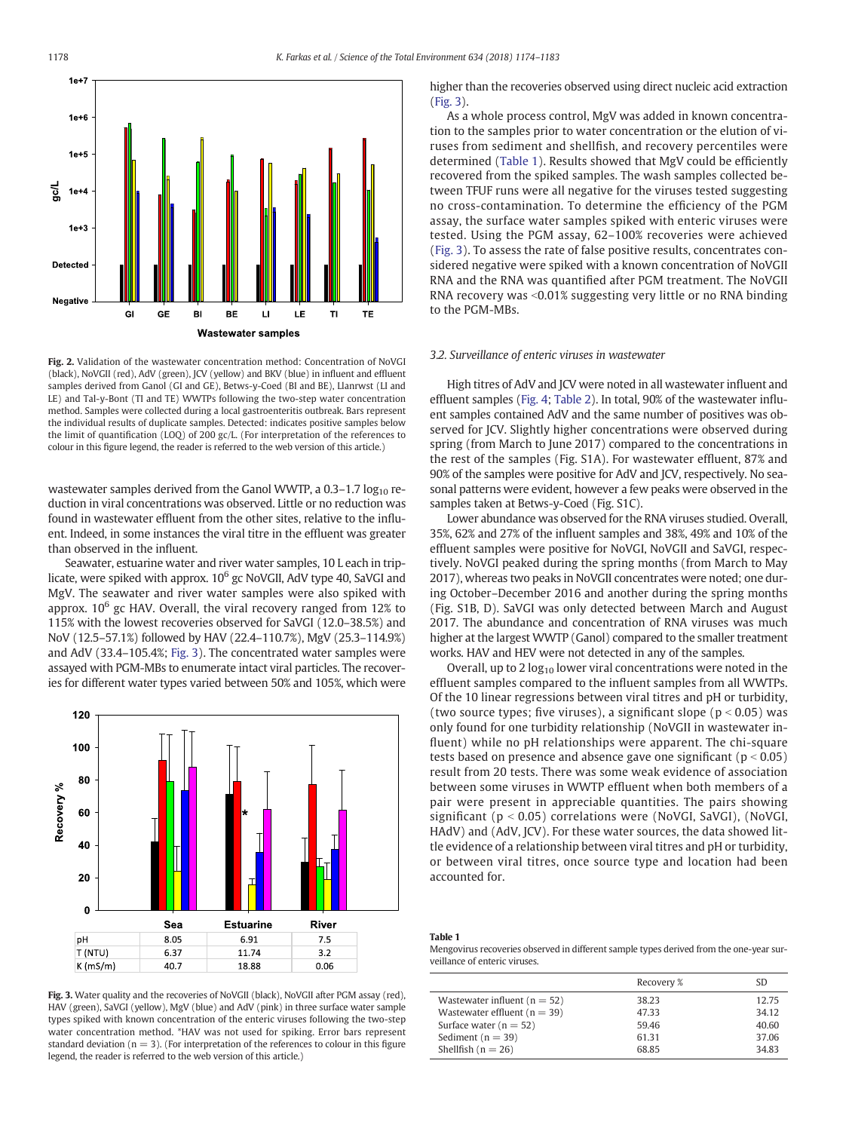<span id="page-4-0"></span>

Fig. 2. Validation of the wastewater concentration method: Concentration of NoVGI (black), NoVGII (red), AdV (green), JCV (yellow) and BKV (blue) in influent and effluent samples derived from Ganol (GI and GE), Betws-y-Coed (BI and BE), Llanrwst (LI and LE) and Tal-y-Bont (TI and TE) WWTPs following the two-step water concentration method. Samples were collected during a local gastroenteritis outbreak. Bars represent the individual results of duplicate samples. Detected: indicates positive samples below the limit of quantification (LOQ) of 200 gc/L. (For interpretation of the references to colour in this figure legend, the reader is referred to the web version of this article.)

wastewater samples derived from the Ganol WWTP, a  $0.3-1.7 \log_{10}$  reduction in viral concentrations was observed. Little or no reduction was found in wastewater effluent from the other sites, relative to the influent. Indeed, in some instances the viral titre in the effluent was greater than observed in the influent.

Seawater, estuarine water and river water samples, 10 L each in triplicate, were spiked with approx.  $10^6$  gc NoVGII, AdV type 40, SaVGI and MgV. The seawater and river water samples were also spiked with approx.  $10^6$  gc HAV. Overall, the viral recovery ranged from 12% to 115% with the lowest recoveries observed for SaVGI (12.0–38.5%) and NoV (12.5–57.1%) followed by HAV (22.4–110.7%), MgV (25.3–114.9%) and AdV (33.4–105.4%; Fig. 3). The concentrated water samples were assayed with PGM-MBs to enumerate intact viral particles. The recoveries for different water types varied between 50% and 105%, which were



Fig. 3. Water quality and the recoveries of NoVGII (black), NoVGII after PGM assay (red), HAV (green), SaVGI (yellow), MgV (blue) and AdV (pink) in three surface water sample types spiked with known concentration of the enteric viruses following the two-step water concentration method. \*HAV was not used for spiking. Error bars represent standard deviation ( $n = 3$ ). (For interpretation of the references to colour in this figure legend, the reader is referred to the web version of this article.)

higher than the recoveries observed using direct nucleic acid extraction (Fig. 3).

As a whole process control, MgV was added in known concentration to the samples prior to water concentration or the elution of viruses from sediment and shellfish, and recovery percentiles were determined (Table 1). Results showed that MgV could be efficiently recovered from the spiked samples. The wash samples collected between TFUF runs were all negative for the viruses tested suggesting no cross-contamination. To determine the efficiency of the PGM assay, the surface water samples spiked with enteric viruses were tested. Using the PGM assay, 62–100% recoveries were achieved (Fig. 3). To assess the rate of false positive results, concentrates considered negative were spiked with a known concentration of NoVGII RNA and the RNA was quantified after PGM treatment. The NoVGII RNA recovery was <0.01% suggesting very little or no RNA binding to the PGM-MBs.

# 3.2. Surveillance of enteric viruses in wastewater

High titres of AdV and JCV were noted in all wastewater influent and effluent samples ([Fig. 4](#page-5-0); [Table 2\)](#page-5-0). In total, 90% of the wastewater influent samples contained AdV and the same number of positives was observed for JCV. Slightly higher concentrations were observed during spring (from March to June 2017) compared to the concentrations in the rest of the samples (Fig. S1A). For wastewater effluent, 87% and 90% of the samples were positive for AdV and JCV, respectively. No seasonal patterns were evident, however a few peaks were observed in the samples taken at Betws-y-Coed (Fig. S1C).

Lower abundance was observed for the RNA viruses studied. Overall, 35%, 62% and 27% of the influent samples and 38%, 49% and 10% of the effluent samples were positive for NoVGI, NoVGII and SaVGI, respectively. NoVGI peaked during the spring months (from March to May 2017), whereas two peaks in NoVGII concentrates were noted; one during October–December 2016 and another during the spring months (Fig. S1B, D). SaVGI was only detected between March and August 2017. The abundance and concentration of RNA viruses was much higher at the largest WWTP (Ganol) compared to the smaller treatment works. HAV and HEV were not detected in any of the samples.

Overall, up to 2  $log_{10}$  lower viral concentrations were noted in the effluent samples compared to the influent samples from all WWTPs. Of the 10 linear regressions between viral titres and pH or turbidity, (two source types; five viruses), a significant slope ( $p < 0.05$ ) was only found for one turbidity relationship (NoVGII in wastewater influent) while no pH relationships were apparent. The chi-square tests based on presence and absence gave one significant ( $p < 0.05$ ) result from 20 tests. There was some weak evidence of association between some viruses in WWTP effluent when both members of a pair were present in appreciable quantities. The pairs showing significant ( $p < 0.05$ ) correlations were (NoVGI, SaVGI), (NoVGI, HAdV) and (AdV, JCV). For these water sources, the data showed little evidence of a relationship between viral titres and pH or turbidity, or between viral titres, once source type and location had been accounted for.

Table 1

Mengovirus recoveries observed in different sample types derived from the one-year surveillance of enteric viruses.

|                                  | Recovery % | SD    |
|----------------------------------|------------|-------|
| Wastewater influent ( $n = 52$ ) | 38.23      | 12.75 |
| Wastewater effluent ( $n = 39$ ) | 47.33      | 34.12 |
| Surface water ( $n = 52$ )       | 59.46      | 40.60 |
| Sediment ( $n = 39$ )            | 61.31      | 37.06 |
| Shellfish ( $n = 26$ )           | 68.85      | 34.83 |
|                                  |            |       |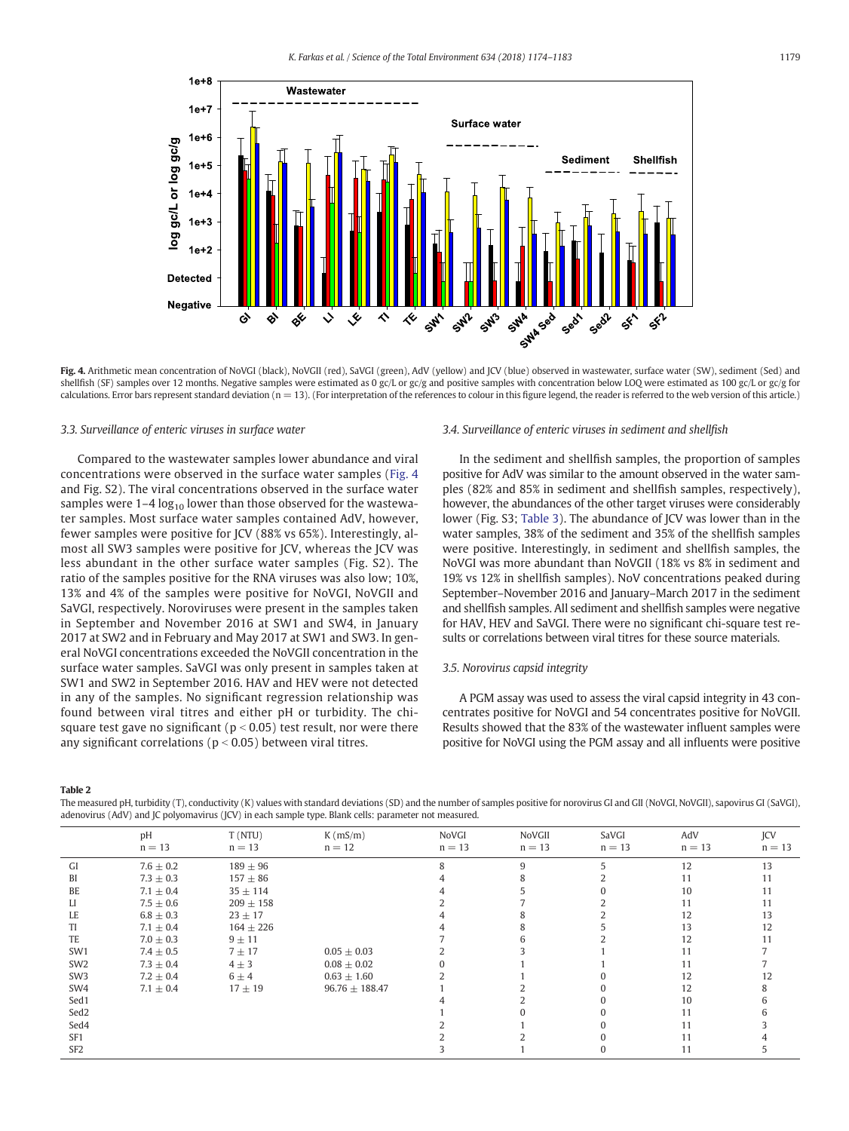<span id="page-5-0"></span>

Fig. 4. Arithmetic mean concentration of NoVGI (black), NoVGII (red), SaVGI (green), AdV (yellow) and JCV (blue) observed in wastewater, surface water (SW), sediment (Sed) and shellfish (SF) samples over 12 months. Negative samples were estimated as 0 gc/L or gc/g and positive samples with concentration below LOQ were estimated as 100 gc/L or gc/g for calculations. Error bars represent standard deviation  $(n = 13)$ . (For interpretation of the references to colour in this figure legend, the reader is referred to the web version of this article.)

#### 3.3. Surveillance of enteric viruses in surface water

Compared to the wastewater samples lower abundance and viral concentrations were observed in the surface water samples (Fig. 4 and Fig. S2). The viral concentrations observed in the surface water samples were  $1-4 \log_{10}$  lower than those observed for the wastewater samples. Most surface water samples contained AdV, however, fewer samples were positive for JCV (88% vs 65%). Interestingly, almost all SW3 samples were positive for JCV, whereas the JCV was less abundant in the other surface water samples (Fig. S2). The ratio of the samples positive for the RNA viruses was also low; 10%, 13% and 4% of the samples were positive for NoVGI, NoVGII and SaVGI, respectively. Noroviruses were present in the samples taken in September and November 2016 at SW1 and SW4, in January 2017 at SW2 and in February and May 2017 at SW1 and SW3. In general NoVGI concentrations exceeded the NoVGII concentration in the surface water samples. SaVGI was only present in samples taken at SW1 and SW2 in September 2016. HAV and HEV were not detected in any of the samples. No significant regression relationship was found between viral titres and either pH or turbidity. The chisquare test gave no significant ( $p < 0.05$ ) test result, nor were there any significant correlations ( $p < 0.05$ ) between viral titres.

#### 3.4. Surveillance of enteric viruses in sediment and shellfish

In the sediment and shellfish samples, the proportion of samples positive for AdV was similar to the amount observed in the water samples (82% and 85% in sediment and shellfish samples, respectively), however, the abundances of the other target viruses were considerably lower (Fig. S3; [Table 3](#page-6-0)). The abundance of JCV was lower than in the water samples, 38% of the sediment and 35% of the shellfish samples were positive. Interestingly, in sediment and shellfish samples, the NoVGI was more abundant than NoVGII (18% vs 8% in sediment and 19% vs 12% in shellfish samples). NoV concentrations peaked during September–November 2016 and January–March 2017 in the sediment and shellfish samples. All sediment and shellfish samples were negative for HAV, HEV and SaVGI. There were no significant chi-square test results or correlations between viral titres for these source materials.

#### 3.5. Norovirus capsid integrity

A PGM assay was used to assess the viral capsid integrity in 43 concentrates positive for NoVGI and 54 concentrates positive for NoVGII. Results showed that the 83% of the wastewater influent samples were positive for NoVGI using the PGM assay and all influents were positive

Table 2

The measured pH, turbidity (T), conductivity (K) values with standard deviations (SD) and the number of samples positive for norovirus GI and GII (NoVGI, NoVGII), sapovirus GI (SaVGI), adenovirus (AdV) and JC polyomavirus (JCV) in each sample type. Blank cells: parameter not measured.

|                  | pH<br>$n = 13$ | T(NTU)<br>$n = 13$ | K(mS/m)<br>$n = 12$ | NoVGI<br>$n = 13$ | NoVGII<br>$n = 13$ | SaVGI<br>$n = 13$ | AdV<br>$n = 13$ | <b>JCV</b><br>$n = 13$ |
|------------------|----------------|--------------------|---------------------|-------------------|--------------------|-------------------|-----------------|------------------------|
| GI               | $7.6 \pm 0.2$  | $189 \pm 96$       |                     | $\mathbf{8}$      | 9                  |                   | 12              | 13                     |
| BI               | $7.3 \pm 0.3$  | $157 + 86$         |                     |                   |                    |                   | 11              | 11                     |
| BE               | $7.1 \pm 0.4$  | $35 \pm 114$       |                     |                   |                    |                   | 10              | 11                     |
| LI               | $7.5 \pm 0.6$  | $209 \pm 158$      |                     |                   |                    |                   | 11              | 11                     |
| LE               | $6.8 \pm 0.3$  | $23 \pm 17$        |                     |                   |                    |                   | 12              | 13                     |
| TI               | $7.1 \pm 0.4$  | $164 \pm 226$      |                     |                   |                    |                   | 13              | 12                     |
| TE               | $7.0 \pm 0.3$  | $9 \pm 11$         |                     |                   |                    |                   | 12              | 11                     |
| SW <sub>1</sub>  | $7.4 \pm 0.5$  | $7 \pm 17$         | $0.05 \pm 0.03$     |                   |                    |                   | 11              |                        |
| SW <sub>2</sub>  | $7.3 \pm 0.4$  | $4 \pm 3$          | $0.08 \pm 0.02$     |                   |                    |                   | 11              |                        |
| SW <sub>3</sub>  | $7.2 \pm 0.4$  | $6 \pm 4$          | $0.63 \pm 1.60$     |                   |                    |                   | 12              | 12                     |
| SW4              | $7.1 \pm 0.4$  | $17 \pm 19$        | $96.76 \pm 188.47$  |                   |                    |                   | 12              |                        |
| Sed1             |                |                    |                     |                   |                    |                   | 10              |                        |
| Sed <sub>2</sub> |                |                    |                     |                   |                    |                   | 11              |                        |
| Sed4             |                |                    |                     |                   |                    |                   | 11              |                        |
| SF1              |                |                    |                     |                   |                    |                   | 11              |                        |
| SF <sub>2</sub>  |                |                    |                     |                   |                    | $\left( \right)$  | 11              | ל                      |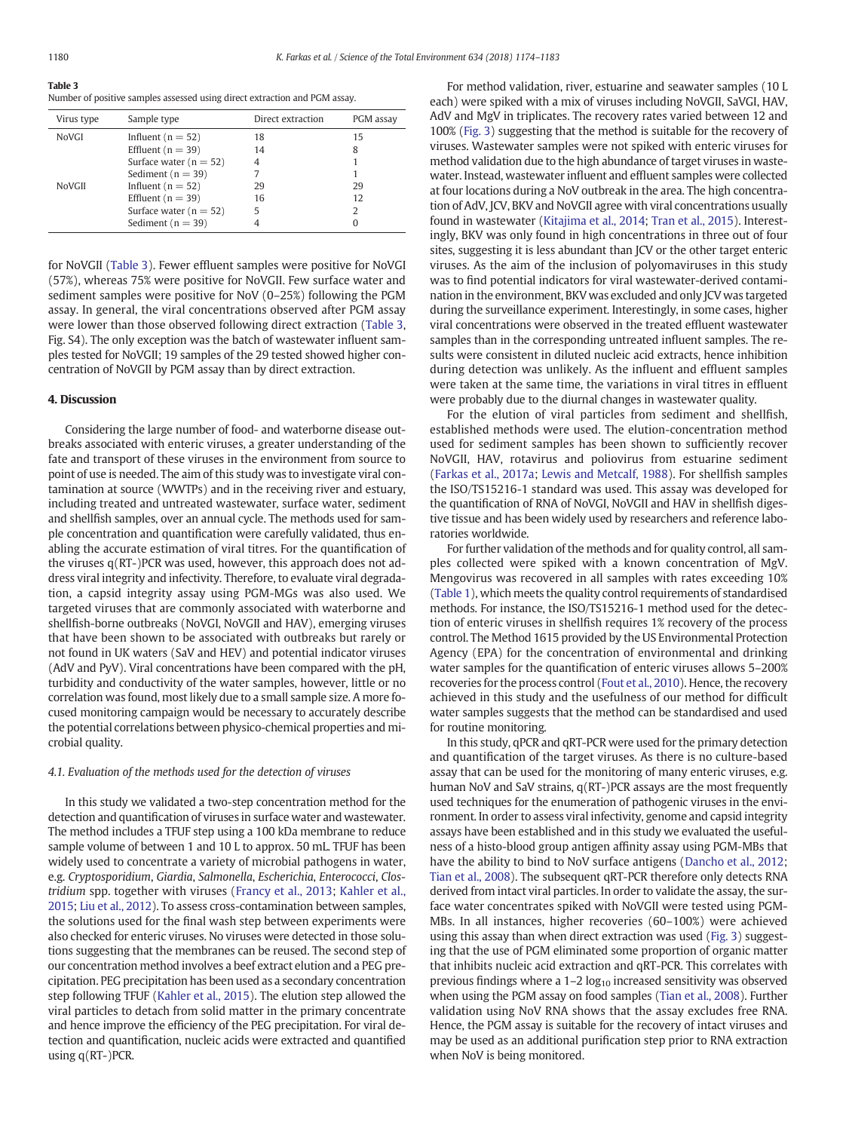<span id="page-6-0"></span>Table 3 Number of positive samples assessed using direct extraction and PGM assay.

| Virus type    | Sample type                | Direct extraction | PGM assay |
|---------------|----------------------------|-------------------|-----------|
| <b>NoVGI</b>  | Influent ( $n = 52$ )      | 18                | 15        |
|               | Effluent $(n = 39)$        | 14                | 8         |
|               | Surface water ( $n = 52$ ) | 4                 |           |
|               | Sediment ( $n = 39$ )      |                   |           |
| <b>NoVGII</b> | Influent ( $n = 52$ )      | 29                | 29        |
|               | Effluent $(n = 39)$        | 16                | 12        |
|               | Surface water ( $n = 52$ ) | 5                 | 2         |
|               | Sediment ( $n = 39$ )      |                   | 0         |
|               |                            |                   |           |

for NoVGII (Table 3). Fewer effluent samples were positive for NoVGI (57%), whereas 75% were positive for NoVGII. Few surface water and sediment samples were positive for NoV (0–25%) following the PGM assay. In general, the viral concentrations observed after PGM assay were lower than those observed following direct extraction (Table 3, Fig. S4). The only exception was the batch of wastewater influent samples tested for NoVGII; 19 samples of the 29 tested showed higher concentration of NoVGII by PGM assay than by direct extraction.

#### 4. Discussion

Considering the large number of food- and waterborne disease outbreaks associated with enteric viruses, a greater understanding of the fate and transport of these viruses in the environment from source to point of use is needed. The aim of this study was to investigate viral contamination at source (WWTPs) and in the receiving river and estuary, including treated and untreated wastewater, surface water, sediment and shellfish samples, over an annual cycle. The methods used for sample concentration and quantification were carefully validated, thus enabling the accurate estimation of viral titres. For the quantification of the viruses q(RT-)PCR was used, however, this approach does not address viral integrity and infectivity. Therefore, to evaluate viral degradation, a capsid integrity assay using PGM-MGs was also used. We targeted viruses that are commonly associated with waterborne and shellfish-borne outbreaks (NoVGI, NoVGII and HAV), emerging viruses that have been shown to be associated with outbreaks but rarely or not found in UK waters (SaV and HEV) and potential indicator viruses (AdV and PyV). Viral concentrations have been compared with the pH, turbidity and conductivity of the water samples, however, little or no correlation was found, most likely due to a small sample size. A more focused monitoring campaign would be necessary to accurately describe the potential correlations between physico-chemical properties and microbial quality.

#### 4.1. Evaluation of the methods used for the detection of viruses

In this study we validated a two-step concentration method for the detection and quantification of viruses in surface water and wastewater. The method includes a TFUF step using a 100 kDa membrane to reduce sample volume of between 1 and 10 L to approx. 50 mL. TFUF has been widely used to concentrate a variety of microbial pathogens in water, e.g. Cryptosporidium, Giardia, Salmonella, Escherichia, Enterococci, Clostridium spp. together with viruses ([Francy et al., 2013](#page-8-0); [Kahler et al.,](#page-8-0) [2015;](#page-8-0) [Liu et al., 2012](#page-9-0)). To assess cross-contamination between samples, the solutions used for the final wash step between experiments were also checked for enteric viruses. No viruses were detected in those solutions suggesting that the membranes can be reused. The second step of our concentration method involves a beef extract elution and a PEG precipitation. PEG precipitation has been used as a secondary concentration step following TFUF [\(Kahler et al., 2015](#page-8-0)). The elution step allowed the viral particles to detach from solid matter in the primary concentrate and hence improve the efficiency of the PEG precipitation. For viral detection and quantification, nucleic acids were extracted and quantified using q(RT-)PCR.

For method validation, river, estuarine and seawater samples (10 L each) were spiked with a mix of viruses including NoVGII, SaVGI, HAV, AdV and MgV in triplicates. The recovery rates varied between 12 and 100% [\(Fig. 3](#page-4-0)) suggesting that the method is suitable for the recovery of viruses. Wastewater samples were not spiked with enteric viruses for method validation due to the high abundance of target viruses in wastewater. Instead, wastewater influent and effluent samples were collected at four locations during a NoV outbreak in the area. The high concentration of AdV, JCV, BKV and NoVGII agree with viral concentrations usually found in wastewater [\(Kitajima et al., 2014;](#page-8-0) [Tran et al., 2015\)](#page-9-0). Interestingly, BKV was only found in high concentrations in three out of four sites, suggesting it is less abundant than JCV or the other target enteric viruses. As the aim of the inclusion of polyomaviruses in this study was to find potential indicators for viral wastewater-derived contamination in the environment, BKV was excluded and only JCV was targeted during the surveillance experiment. Interestingly, in some cases, higher viral concentrations were observed in the treated effluent wastewater samples than in the corresponding untreated influent samples. The results were consistent in diluted nucleic acid extracts, hence inhibition during detection was unlikely. As the influent and effluent samples were taken at the same time, the variations in viral titres in effluent were probably due to the diurnal changes in wastewater quality.

For the elution of viral particles from sediment and shellfish, established methods were used. The elution-concentration method used for sediment samples has been shown to sufficiently recover NoVGII, HAV, rotavirus and poliovirus from estuarine sediment [\(Farkas et al., 2017a](#page-8-0); [Lewis and Metcalf, 1988\)](#page-9-0). For shellfish samples the ISO/TS15216-1 standard was used. This assay was developed for the quantification of RNA of NoVGI, NoVGII and HAV in shellfish digestive tissue and has been widely used by researchers and reference laboratories worldwide.

For further validation of the methods and for quality control, all samples collected were spiked with a known concentration of MgV. Mengovirus was recovered in all samples with rates exceeding 10% [\(Table 1](#page-4-0)), which meets the quality control requirements of standardised methods. For instance, the ISO/TS15216-1 method used for the detection of enteric viruses in shellfish requires 1% recovery of the process control. The Method 1615 provided by the US Environmental Protection Agency (EPA) for the concentration of environmental and drinking water samples for the quantification of enteric viruses allows 5–200% recoveries for the process control [\(Fout et al., 2010\)](#page-8-0). Hence, the recovery achieved in this study and the usefulness of our method for difficult water samples suggests that the method can be standardised and used for routine monitoring.

In this study, qPCR and qRT-PCR were used for the primary detection and quantification of the target viruses. As there is no culture-based assay that can be used for the monitoring of many enteric viruses, e.g. human NoV and SaV strains, q(RT-)PCR assays are the most frequently used techniques for the enumeration of pathogenic viruses in the environment. In order to assess viral infectivity, genome and capsid integrity assays have been established and in this study we evaluated the usefulness of a histo-blood group antigen affinity assay using PGM-MBs that have the ability to bind to NoV surface antigens ([Dancho et al., 2012](#page-8-0); [Tian et al., 2008](#page-9-0)). The subsequent qRT-PCR therefore only detects RNA derived from intact viral particles. In order to validate the assay, the surface water concentrates spiked with NoVGII were tested using PGM-MBs. In all instances, higher recoveries (60–100%) were achieved using this assay than when direct extraction was used ([Fig. 3](#page-4-0)) suggesting that the use of PGM eliminated some proportion of organic matter that inhibits nucleic acid extraction and qRT-PCR. This correlates with previous findings where a  $1-2 \log_{10}$  increased sensitivity was observed when using the PGM assay on food samples [\(Tian et al., 2008](#page-9-0)). Further validation using NoV RNA shows that the assay excludes free RNA. Hence, the PGM assay is suitable for the recovery of intact viruses and may be used as an additional purification step prior to RNA extraction when NoV is being monitored.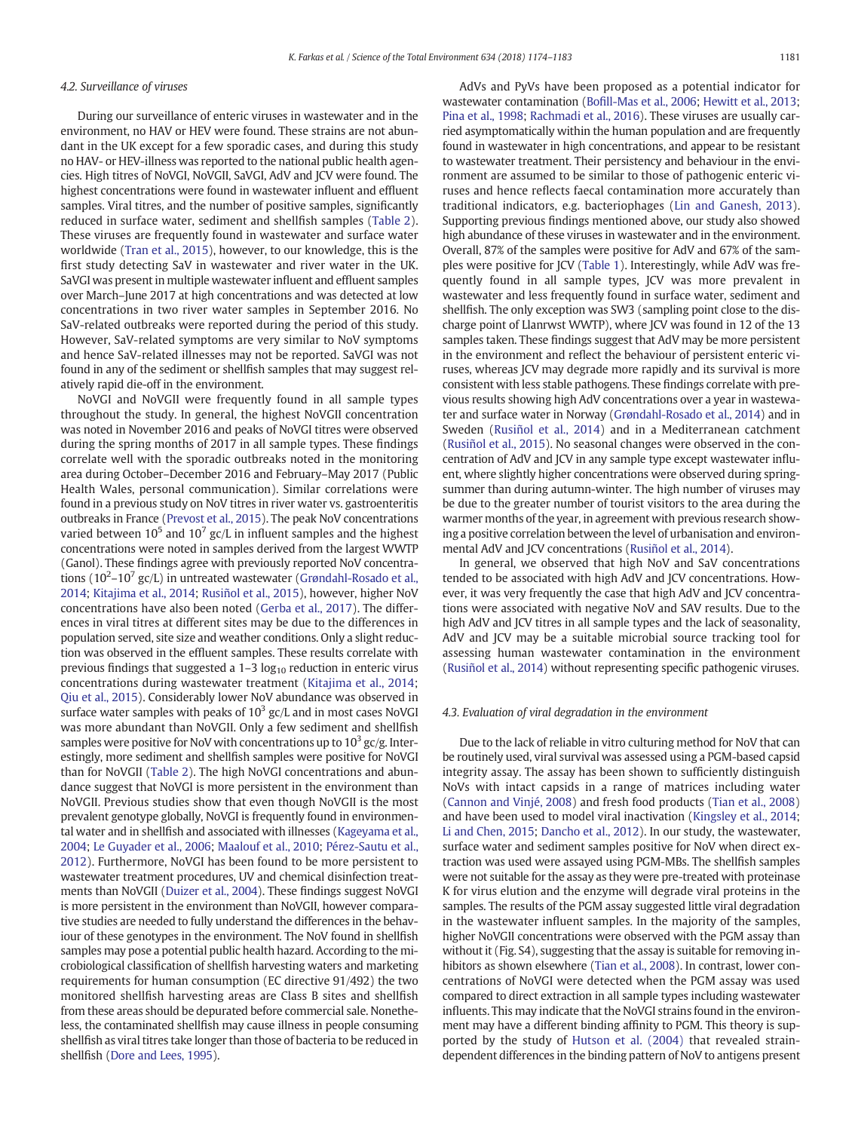### 4.2. Surveillance of viruses

During our surveillance of enteric viruses in wastewater and in the environment, no HAV or HEV were found. These strains are not abundant in the UK except for a few sporadic cases, and during this study no HAV- or HEV-illness was reported to the national public health agencies. High titres of NoVGI, NoVGII, SaVGI, AdV and JCV were found. The highest concentrations were found in wastewater influent and effluent samples. Viral titres, and the number of positive samples, significantly reduced in surface water, sediment and shellfish samples [\(Table 2](#page-5-0)). These viruses are frequently found in wastewater and surface water worldwide ([Tran et al., 2015](#page-9-0)), however, to our knowledge, this is the first study detecting SaV in wastewater and river water in the UK. SaVGI was present in multiple wastewater influent and effluent samples over March–June 2017 at high concentrations and was detected at low concentrations in two river water samples in September 2016. No SaV-related outbreaks were reported during the period of this study. However, SaV-related symptoms are very similar to NoV symptoms and hence SaV-related illnesses may not be reported. SaVGI was not found in any of the sediment or shellfish samples that may suggest relatively rapid die-off in the environment.

NoVGI and NoVGII were frequently found in all sample types throughout the study. In general, the highest NoVGII concentration was noted in November 2016 and peaks of NoVGI titres were observed during the spring months of 2017 in all sample types. These findings correlate well with the sporadic outbreaks noted in the monitoring area during October–December 2016 and February–May 2017 (Public Health Wales, personal communication). Similar correlations were found in a previous study on NoV titres in river water vs. gastroenteritis outbreaks in France [\(Prevost et al., 2015](#page-9-0)). The peak NoV concentrations varied between  $10^5$  and  $10^7$  gc/L in influent samples and the highest concentrations were noted in samples derived from the largest WWTP (Ganol). These findings agree with previously reported NoV concentra-tions (10<sup>2</sup>–10<sup>7</sup> gc/L) in untreated wastewater ([Grøndahl-Rosado et al.,](#page-8-0) [2014;](#page-8-0) [Kitajima et al., 2014;](#page-8-0) [Rusiñol et al., 2015\)](#page-9-0), however, higher NoV concentrations have also been noted ([Gerba et al., 2017](#page-8-0)). The differences in viral titres at different sites may be due to the differences in population served, site size and weather conditions. Only a slight reduction was observed in the effluent samples. These results correlate with previous findings that suggested a  $1-3 \log_{10}$  reduction in enteric virus concentrations during wastewater treatment ([Kitajima et al., 2014;](#page-8-0) [Qiu et al., 2015\)](#page-9-0). Considerably lower NoV abundance was observed in surface water samples with peaks of  $10^3$  gc/L and in most cases NoVGI was more abundant than NoVGII. Only a few sediment and shellfish samples were positive for NoV with concentrations up to  $10^3$  gc/g. Interestingly, more sediment and shellfish samples were positive for NoVGI than for NoVGII ([Table 2](#page-5-0)). The high NoVGI concentrations and abundance suggest that NoVGI is more persistent in the environment than NoVGII. Previous studies show that even though NoVGII is the most prevalent genotype globally, NoVGI is frequently found in environmental water and in shellfish and associated with illnesses ([Kageyama et al.,](#page-8-0) [2004;](#page-8-0) [Le Guyader et al., 2006;](#page-9-0) [Maalouf et al., 2010;](#page-9-0) [Pérez-Sautu et al.,](#page-9-0) [2012\)](#page-9-0). Furthermore, NoVGI has been found to be more persistent to wastewater treatment procedures, UV and chemical disinfection treatments than NoVGII [\(Duizer et al., 2004\)](#page-8-0). These findings suggest NoVGI is more persistent in the environment than NoVGII, however comparative studies are needed to fully understand the differences in the behaviour of these genotypes in the environment. The NoV found in shellfish samples may pose a potential public health hazard. According to the microbiological classification of shellfish harvesting waters and marketing requirements for human consumption (EC directive 91/492) the two monitored shellfish harvesting areas are Class B sites and shellfish from these areas should be depurated before commercial sale. Nonetheless, the contaminated shellfish may cause illness in people consuming shellfish as viral titres take longer than those of bacteria to be reduced in shellfish ([Dore and Lees, 1995](#page-8-0)).

AdVs and PyVs have been proposed as a potential indicator for wastewater contamination (Bofi[ll-Mas et al., 2006;](#page-8-0) [Hewitt et al., 2013;](#page-8-0) [Pina et al., 1998](#page-9-0); [Rachmadi et al., 2016\)](#page-9-0). These viruses are usually carried asymptomatically within the human population and are frequently found in wastewater in high concentrations, and appear to be resistant to wastewater treatment. Their persistency and behaviour in the environment are assumed to be similar to those of pathogenic enteric viruses and hence reflects faecal contamination more accurately than traditional indicators, e.g. bacteriophages [\(Lin and Ganesh, 2013](#page-9-0)). Supporting previous findings mentioned above, our study also showed high abundance of these viruses in wastewater and in the environment. Overall, 87% of the samples were positive for AdV and 67% of the samples were positive for JCV ([Table 1\)](#page-4-0). Interestingly, while AdV was frequently found in all sample types, JCV was more prevalent in wastewater and less frequently found in surface water, sediment and shellfish. The only exception was SW3 (sampling point close to the discharge point of Llanrwst WWTP), where JCV was found in 12 of the 13 samples taken. These findings suggest that AdV may be more persistent in the environment and reflect the behaviour of persistent enteric viruses, whereas JCV may degrade more rapidly and its survival is more consistent with less stable pathogens. These findings correlate with previous results showing high AdV concentrations over a year in wastewater and surface water in Norway [\(Grøndahl-Rosado et al., 2014\)](#page-8-0) and in Sweden ([Rusiñol et al., 2014](#page-9-0)) and in a Mediterranean catchment [\(Rusiñol et al., 2015\)](#page-9-0). No seasonal changes were observed in the concentration of AdV and JCV in any sample type except wastewater influent, where slightly higher concentrations were observed during springsummer than during autumn-winter. The high number of viruses may be due to the greater number of tourist visitors to the area during the warmer months of the year, in agreement with previous research showing a positive correlation between the level of urbanisation and environmental AdV and JCV concentrations [\(Rusiñol et al., 2014](#page-9-0)).

In general, we observed that high NoV and SaV concentrations tended to be associated with high AdV and JCV concentrations. However, it was very frequently the case that high AdV and JCV concentrations were associated with negative NoV and SAV results. Due to the high AdV and JCV titres in all sample types and the lack of seasonality, AdV and JCV may be a suitable microbial source tracking tool for assessing human wastewater contamination in the environment [\(Rusiñol et al., 2014](#page-9-0)) without representing specific pathogenic viruses.

#### 4.3. Evaluation of viral degradation in the environment

Due to the lack of reliable in vitro culturing method for NoV that can be routinely used, viral survival was assessed using a PGM-based capsid integrity assay. The assay has been shown to sufficiently distinguish NoVs with intact capsids in a range of matrices including water [\(Cannon and Vinjé, 2008](#page-8-0)) and fresh food products [\(Tian et al., 2008](#page-9-0)) and have been used to model viral inactivation [\(Kingsley et al., 2014;](#page-8-0) [Li and Chen, 2015;](#page-9-0) [Dancho et al., 2012](#page-8-0)). In our study, the wastewater, surface water and sediment samples positive for NoV when direct extraction was used were assayed using PGM-MBs. The shellfish samples were not suitable for the assay as they were pre-treated with proteinase K for virus elution and the enzyme will degrade viral proteins in the samples. The results of the PGM assay suggested little viral degradation in the wastewater influent samples. In the majority of the samples, higher NoVGII concentrations were observed with the PGM assay than without it (Fig. S4), suggesting that the assay is suitable for removing inhibitors as shown elsewhere ([Tian et al., 2008\)](#page-9-0). In contrast, lower concentrations of NoVGI were detected when the PGM assay was used compared to direct extraction in all sample types including wastewater influents. This may indicate that the NoVGI strains found in the environment may have a different binding affinity to PGM. This theory is supported by the study of [Hutson et al. \(2004\)](#page-8-0) that revealed straindependent differences in the binding pattern of NoV to antigens present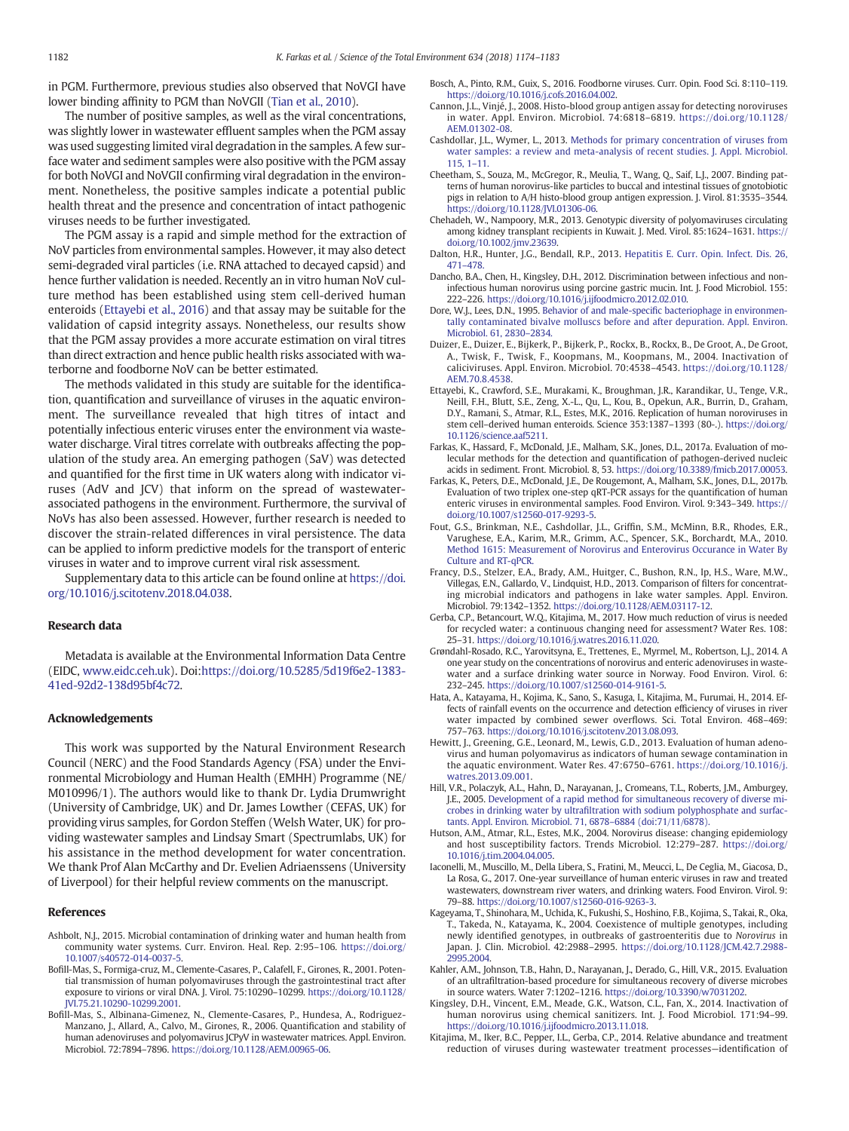<span id="page-8-0"></span>in PGM. Furthermore, previous studies also observed that NoVGI have lower binding affinity to PGM than NoVGII ([Tian et al., 2010\)](#page-9-0).

The number of positive samples, as well as the viral concentrations, was slightly lower in wastewater effluent samples when the PGM assay was used suggesting limited viral degradation in the samples. A few surface water and sediment samples were also positive with the PGM assay for both NoVGI and NoVGII confirming viral degradation in the environment. Nonetheless, the positive samples indicate a potential public health threat and the presence and concentration of intact pathogenic viruses needs to be further investigated.

The PGM assay is a rapid and simple method for the extraction of NoV particles from environmental samples. However, it may also detect semi-degraded viral particles (i.e. RNA attached to decayed capsid) and hence further validation is needed. Recently an in vitro human NoV culture method has been established using stem cell-derived human enteroids (Ettayebi et al., 2016) and that assay may be suitable for the validation of capsid integrity assays. Nonetheless, our results show that the PGM assay provides a more accurate estimation on viral titres than direct extraction and hence public health risks associated with waterborne and foodborne NoV can be better estimated.

The methods validated in this study are suitable for the identification, quantification and surveillance of viruses in the aquatic environment. The surveillance revealed that high titres of intact and potentially infectious enteric viruses enter the environment via wastewater discharge. Viral titres correlate with outbreaks affecting the population of the study area. An emerging pathogen (SaV) was detected and quantified for the first time in UK waters along with indicator viruses (AdV and JCV) that inform on the spread of wastewaterassociated pathogens in the environment. Furthermore, the survival of NoVs has also been assessed. However, further research is needed to discover the strain-related differences in viral persistence. The data can be applied to inform predictive models for the transport of enteric viruses in water and to improve current viral risk assessment.

Supplementary data to this article can be found online at [https://doi.](https://doi.org/10.1016/j.scitotenv.2018.04.038) [org/10.1016/j.scitotenv.2018.04.038.](https://doi.org/10.1016/j.scitotenv.2018.04.038)

#### Research data

Metadata is available at the Environmental Information Data Centre (EIDC, [www.eidc.ceh.uk](http://www.eidc.ceh.uk)). Doi[:https://doi.org/10.5285/5d19f6e2-1383-](https://doi.org/10.5285/5d19f6e2-1383-41ed-92d2-138d95bf4c72) [41ed-92d2-138d95bf4c72](https://doi.org/10.5285/5d19f6e2-1383-41ed-92d2-138d95bf4c72).

#### Acknowledgements

This work was supported by the Natural Environment Research Council (NERC) and the Food Standards Agency (FSA) under the Environmental Microbiology and Human Health (EMHH) Programme (NE/ M010996/1). The authors would like to thank Dr. Lydia Drumwright (University of Cambridge, UK) and Dr. James Lowther (CEFAS, UK) for providing virus samples, for Gordon Steffen (Welsh Water, UK) for providing wastewater samples and Lindsay Smart (Spectrumlabs, UK) for his assistance in the method development for water concentration. We thank Prof Alan McCarthy and Dr. Evelien Adriaenssens (University of Liverpool) for their helpful review comments on the manuscript.

#### **References**

- Ashbolt, N.J., 2015. Microbial contamination of drinking water and human health from community water systems. Curr. Environ. Heal. Rep. 2:95–106. [https://doi.org/](https://doi.org/10.1007/s40572-014-0037-5) [10.1007/s40572-014-0037-5.](https://doi.org/10.1007/s40572-014-0037-5)
- Bofill-Mas, S., Formiga-cruz, M., Clemente-Casares, P., Calafell, F., Girones, R., 2001. Potential transmission of human polyomaviruses through the gastrointestinal tract after exposure to virions or viral DNA. J. Virol. 75:10290–10299. [https://doi.org/10.1128/](https://doi.org/10.1128/JVI.75.21.10290-10299.2001) [JVI.75.21.10290-10299.2001](https://doi.org/10.1128/JVI.75.21.10290-10299.2001).
- Bofill-Mas, S., Albinana-Gimenez, N., Clemente-Casares, P., Hundesa, A., Rodriguez-Manzano, J., Allard, A., Calvo, M., Girones, R., 2006. Quantification and stability of human adenoviruses and polyomavirus JCPyV in wastewater matrices. Appl. Environ. Microbiol. 72:7894–7896. [https://doi.org/10.1128/AEM.00965-06.](https://doi.org/10.1128/AEM.00965-06)
- Bosch, A., Pinto, R.M., Guix, S., 2016. Foodborne viruses. Curr. Opin. Food Sci. 8:110–119. [https://doi.org/10.1016/j.cofs.2016.04.002.](https://doi.org/10.1016/j.cofs.2016.04.002)
- Cannon, J.L., Vinjé, J., 2008. Histo-blood group antigen assay for detecting noroviruses in water. Appl. Environ. Microbiol. 74:6818–6819. [https://doi.org/10.1128/](https://doi.org/10.1128/AEM.01302-08) [AEM.01302-08](https://doi.org/10.1128/AEM.01302-08).
- Cashdollar, J.L., Wymer, L., 2013. [Methods for primary concentration of viruses from](http://refhub.elsevier.com/S0048-9697(18)31195-1/rf0030) [water samples: a review and meta-analysis of recent studies. J. Appl. Microbiol.](http://refhub.elsevier.com/S0048-9697(18)31195-1/rf0030) [115, 1](http://refhub.elsevier.com/S0048-9697(18)31195-1/rf0030)–11.
- Cheetham, S., Souza, M., McGregor, R., Meulia, T., Wang, Q., Saif, L.J., 2007. Binding patterns of human norovirus-like particles to buccal and intestinal tissues of gnotobiotic pigs in relation to A/H histo-blood group antigen expression. J. Virol. 81:3535–3544. <https://doi.org/10.1128/JVI.01306-06>.
- Chehadeh, W., Nampoory, M.R., 2013. Genotypic diversity of polyomaviruses circulating among kidney transplant recipients in Kuwait. J. Med. Virol. 85:1624–1631. [https://](https://doi.org/10.1002/jmv.23639) [doi.org/10.1002/jmv.23639.](https://doi.org/10.1002/jmv.23639)
- Dalton, H.R., Hunter, J.G., Bendall, R.P., 2013. [Hepatitis E. Curr. Opin. Infect. Dis. 26,](http://refhub.elsevier.com/S0048-9697(18)31195-1/rf0045) 471–[478.](http://refhub.elsevier.com/S0048-9697(18)31195-1/rf0045)
- Dancho, B.A., Chen, H., Kingsley, D.H., 2012. Discrimination between infectious and noninfectious human norovirus using porcine gastric mucin. Int. J. Food Microbiol. 155: 222–226. [https://doi.org/10.1016/j.ijfoodmicro.2012.02.010.](https://doi.org/10.1016/j.ijfoodmicro.2012.02.010)
- Dore, W.J., Lees, D.N., 1995. Behavior of and male-specifi[c bacteriophage in environmen](http://refhub.elsevier.com/S0048-9697(18)31195-1/rf0055)[tally contaminated bivalve molluscs before and after depuration. Appl. Environ.](http://refhub.elsevier.com/S0048-9697(18)31195-1/rf0055) [Microbiol. 61, 2830](http://refhub.elsevier.com/S0048-9697(18)31195-1/rf0055)–2834.
- Duizer, E., Duizer, E., Bijkerk, P., Bijkerk, P., Rockx, B., Rockx, B., De Groot, A., De Groot, A., Twisk, F., Twisk, F., Koopmans, M., Koopmans, M., 2004. Inactivation of caliciviruses. Appl. Environ. Microbiol. 70:4538–4543. [https://doi.org/10.1128/](https://doi.org/10.1128/AEM.70.8.4538) [AEM.70.8.4538](https://doi.org/10.1128/AEM.70.8.4538).
- Ettayebi, K., Crawford, S.E., Murakami, K., Broughman, J.R., Karandikar, U., Tenge, V.R., Neill, F.H., Blutt, S.E., Zeng, X.-L., Qu, L., Kou, B., Opekun, A.R., Burrin, D., Graham, D.Y., Ramani, S., Atmar, R.L., Estes, M.K., 2016. Replication of human noroviruses in stem cell–derived human enteroids. Science 353:1387–1393 (80-.). [https://doi.org/](https://doi.org/10.1126/science.aaf5211) [10.1126/science.aaf5211.](https://doi.org/10.1126/science.aaf5211)
- Farkas, K., Hassard, F., McDonald, J.E., Malham, S.K., Jones, D.L., 2017a. Evaluation of molecular methods for the detection and quantification of pathogen-derived nucleic acids in sediment. Front. Microbiol. 8, 53. <https://doi.org/10.3389/fmicb.2017.00053>.
- Farkas, K., Peters, D.E., McDonald, J.E., De Rougemont, A., Malham, S.K., Jones, D.L., 2017b. Evaluation of two triplex one-step qRT-PCR assays for the quantification of human enteric viruses in environmental samples. Food Environ. Virol. 9:343–349. [https://](https://doi.org/10.1007/s12560-017-9293-5) [doi.org/10.1007/s12560-017-9293-5.](https://doi.org/10.1007/s12560-017-9293-5)
- Fout, G.S., Brinkman, N.E., Cashdollar, J.L., Griffin, S.M., McMinn, B.R., Rhodes, E.R., Varughese, E.A., Karim, M.R., Grimm, A.C., Spencer, S.K., Borchardt, M.A., 2010. [Method 1615: Measurement of Norovirus and Enterovirus Occurance in Water By](http://refhub.elsevier.com/S0048-9697(18)31195-1/rf0080) [Culture and RT-qPCR](http://refhub.elsevier.com/S0048-9697(18)31195-1/rf0080).
- Francy, D.S., Stelzer, E.A., Brady, A.M., Huitger, C., Bushon, R.N., Ip, H.S., Ware, M.W., Villegas, E.N., Gallardo, V., Lindquist, H.D., 2013. Comparison of filters for concentrating microbial indicators and pathogens in lake water samples. Appl. Environ. Microbiol. 79:1342–1352. [https://doi.org/10.1128/AEM.03117-12.](https://doi.org/10.1128/AEM.03117-12)
- Gerba, C.P., Betancourt, W.Q., Kitajima, M., 2017. How much reduction of virus is needed for recycled water: a continuous changing need for assessment? Water Res. 108: 25–31. <https://doi.org/10.1016/j.watres.2016.11.020>.
- Grøndahl-Rosado, R.C., Yarovitsyna, E., Trettenes, E., Myrmel, M., Robertson, L.J., 2014. A one year study on the concentrations of norovirus and enteric adenoviruses in wastewater and a surface drinking water source in Norway. Food Environ. Virol. 6: 232–245. <https://doi.org/10.1007/s12560-014-9161-5>.
- Hata, A., Katayama, H., Kojima, K., Sano, S., Kasuga, I., Kitajima, M., Furumai, H., 2014. Effects of rainfall events on the occurrence and detection efficiency of viruses in river water impacted by combined sewer overflows. Sci. Total Environ. 468–469: 757–763. [https://doi.org/10.1016/j.scitotenv.2013.08.093.](https://doi.org/10.1016/j.scitotenv.2013.08.093)
- Hewitt, J., Greening, G.E., Leonard, M., Lewis, G.D., 2013. Evaluation of human adenovirus and human polyomavirus as indicators of human sewage contamination in the aquatic environment. Water Res. 47:6750–6761. [https://doi.org/10.1016/j.](https://doi.org/10.1016/j.watres.2013.09.001) [watres.2013.09.001](https://doi.org/10.1016/j.watres.2013.09.001).
- Hill, V.R., Polaczyk, A.L., Hahn, D., Narayanan, J., Cromeans, T.L., Roberts, J.M., Amburgey, J.E., 2005. [Development of a rapid method for simultaneous recovery of diverse mi](http://refhub.elsevier.com/S0048-9697(18)31195-1/rf0110)crobes in drinking water by ultrafi[ltration with sodium polyphosphate and surfac](http://refhub.elsevier.com/S0048-9697(18)31195-1/rf0110)[tants. Appl. Environ. Microbiol. 71, 6878](http://refhub.elsevier.com/S0048-9697(18)31195-1/rf0110)–6884 (doi:71/11/6878).
- Hutson, A.M., Atmar, R.L., Estes, M.K., 2004. Norovirus disease: changing epidemiology and host susceptibility factors. Trends Microbiol. 12:279–287. [https://doi.org/](https://doi.org/10.1016/j.tim.2004.04.005) [10.1016/j.tim.2004.04.005.](https://doi.org/10.1016/j.tim.2004.04.005)
- Iaconelli, M., Muscillo, M., Della Libera, S., Fratini, M., Meucci, L., De Ceglia, M., Giacosa, D., La Rosa, G., 2017. One-year surveillance of human enteric viruses in raw and treated wastewaters, downstream river waters, and drinking waters. Food Environ. Virol. 9: 79–88. <https://doi.org/10.1007/s12560-016-9263-3>.
- Kageyama, T., Shinohara, M., Uchida, K., Fukushi, S., Hoshino, F.B., Kojima, S., Takai, R., Oka, T., Takeda, N., Katayama, K., 2004. Coexistence of multiple genotypes, including newly identified genotypes, in outbreaks of gastroenteritis due to Norovirus in Japan. J. Clin. Microbiol. 42:2988–2995. [https://doi.org/10.1128/JCM.42.7.2988-](https://doi.org/10.1128/JCM.42.7.2988-2995.2004) [2995.2004.](https://doi.org/10.1128/JCM.42.7.2988-2995.2004)
- Kahler, A.M., Johnson, T.B., Hahn, D., Narayanan, J., Derado, G., Hill, V.R., 2015. Evaluation of an ultrafiltration-based procedure for simultaneous recovery of diverse microbes in source waters. Water 7:1202–1216. [https://doi.org/10.3390/w7031202.](https://doi.org/10.3390/w7031202)
- Kingsley, D.H., Vincent, E.M., Meade, G.K., Watson, C.L., Fan, X., 2014. Inactivation of human norovirus using chemical sanitizers. Int. J. Food Microbiol. 171:94–99. <https://doi.org/10.1016/j.ijfoodmicro.2013.11.018>.
- Kitajima, M., Iker, B.C., Pepper, I.L., Gerba, C.P., 2014. Relative abundance and treatment reduction of viruses during wastewater treatment processes—identification of